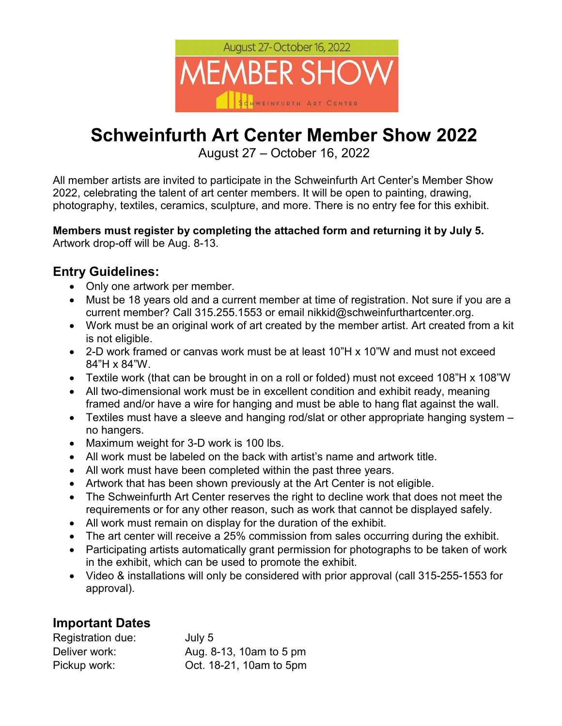

# **Schweinfurth Art Center Member Show 2022**

August 27 – October 16, 2022

All member artists are invited to participate in the Schweinfurth Art Center's Member Show 2022, celebrating the talent of art center members. It will be open to painting, drawing, photography, textiles, ceramics, sculpture, and more. There is no entry fee for this exhibit.

**Members must register by completing the attached form and returning it by July 5.** Artwork drop-off will be Aug. 8-13.

## **Entry Guidelines:**

- Only one artwork per member.
- Must be 18 years old and a current member at time of registration. Not sure if you are a current member? Call 315.255.1553 or email nikkid@schweinfurthartcenter.org.
- Work must be an original work of art created by the member artist. Art created from a kit is not eligible.
- 2-D work framed or canvas work must be at least 10"H x 10"W and must not exceed 84"H x 84"W.
- Textile work (that can be brought in on a roll or folded) must not exceed 108"H x 108"W
- All two-dimensional work must be in excellent condition and exhibit ready, meaning framed and/or have a wire for hanging and must be able to hang flat against the wall.
- Textiles must have a sleeve and hanging rod/slat or other appropriate hanging system no hangers.
- Maximum weight for 3-D work is 100 lbs.
- All work must be labeled on the back with artist's name and artwork title.
- All work must have been completed within the past three years.
- Artwork that has been shown previously at the Art Center is not eligible.
- The Schweinfurth Art Center reserves the right to decline work that does not meet the requirements or for any other reason, such as work that cannot be displayed safely.
- All work must remain on display for the duration of the exhibit.
- The art center will receive a 25% commission from sales occurring during the exhibit.
- Participating artists automatically grant permission for photographs to be taken of work in the exhibit, which can be used to promote the exhibit.
- Video & installations will only be considered with prior approval (call 315-255-1553 for approval).

#### **Important Dates**

| Registration due: | July 5                  |
|-------------------|-------------------------|
| Deliver work:     | Aug. 8-13, 10am to 5 pm |
| Pickup work:      | Oct. 18-21, 10am to 5pm |